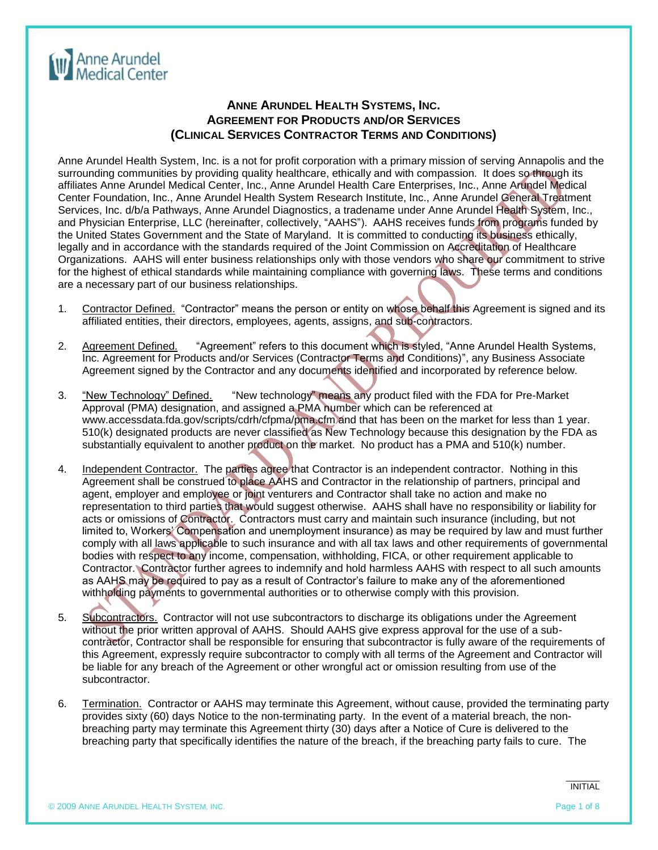

## **ANNE ARUNDEL HEALTH SYSTEMS, INC. AGREEMENT FOR PRODUCTS AND/OR SERVICES (CLINICAL SERVICES CONTRACTOR TERMS AND CONDITIONS)**

Anne Arundel Health System, Inc. is a not for profit corporation with a primary mission of serving Annapolis and the surrounding communities by providing quality healthcare, ethically and with compassion. It does so through its affiliates Anne Arundel Medical Center, Inc., Anne Arundel Health Care Enterprises, Inc., Anne Arundel Medical Center Foundation, Inc., Anne Arundel Health System Research Institute, Inc., Anne Arundel General Treatment Services, Inc. d/b/a Pathways, Anne Arundel Diagnostics, a tradename under Anne Arundel Health System, Inc., and Physician Enterprise, LLC (hereinafter, collectively, "AAHS"). AAHS receives funds from programs funded by the United States Government and the State of Maryland. It is committed to conducting its business ethically, legally and in accordance with the standards required of the Joint Commission on Accreditation of Healthcare Organizations. AAHS will enter business relationships only with those vendors who share our commitment to strive for the highest of ethical standards while maintaining compliance with governing laws. These terms and conditions are a necessary part of our business relationships.

- 1. Contractor Defined. "Contractor" means the person or entity on whose behalf this Agreement is signed and its affiliated entities, their directors, employees, agents, assigns, and sub-contractors.
- 2. Agreement Defined. "Agreement" refers to this document which is styled, "Anne Arundel Health Systems, Inc. Agreement for Products and/or Services (Contractor Terms and Conditions)", any Business Associate Agreement signed by the Contractor and any documents identified and incorporated by reference below.
- 3. "New Technology" Defined. "New technology" means any product filed with the FDA for Pre-Market Approval (PMA) designation, and assigned a PMA number which can be referenced at [www.accessdata.fda.gov/scripts/cdrh/cfpma/pma.cfm](http://www.accessdata.fda.gov/scripts/cdrh/cfpma/pma.cfm) and that has been on the market for less than 1 year. 510(k) designated products are never classified as New Technology because this designation by the FDA as substantially equivalent to another product on the market. No product has a PMA and 510(k) number.
- 4. Independent Contractor. The parties agree that Contractor is an independent contractor. Nothing in this Agreement shall be construed to place AAHS and Contractor in the relationship of partners, principal and agent, employer and employee or joint venturers and Contractor shall take no action and make no representation to third parties that would suggest otherwise. AAHS shall have no responsibility or liability for acts or omissions of Contractor. Contractors must carry and maintain such insurance (including, but not limited to, Workers' Compensation and unemployment insurance) as may be required by law and must further comply with all laws applicable to such insurance and with all tax laws and other requirements of governmental bodies with respect to any income, compensation, withholding, FICA, or other requirement applicable to Contractor. Contractor further agrees to indemnify and hold harmless AAHS with respect to all such amounts as AAHS may be required to pay as a result of Contractor's failure to make any of the aforementioned withholding payments to governmental authorities or to otherwise comply with this provision.
- 5. Subcontractors. Contractor will not use subcontractors to discharge its obligations under the Agreement without the prior written approval of AAHS. Should AAHS give express approval for the use of a subcontractor, Contractor shall be responsible for ensuring that subcontractor is fully aware of the requirements of this Agreement, expressly require subcontractor to comply with all terms of the Agreement and Contractor will be liable for any breach of the Agreement or other wrongful act or omission resulting from use of the subcontractor.
- 6. Termination. Contractor or AAHS may terminate this Agreement, without cause, provided the terminating party provides sixty (60) days Notice to the non-terminating party. In the event of a material breach, the nonbreaching party may terminate this Agreement thirty (30) days after a Notice of Cure is delivered to the breaching party that specifically identifies the nature of the breach, if the breaching party fails to cure. The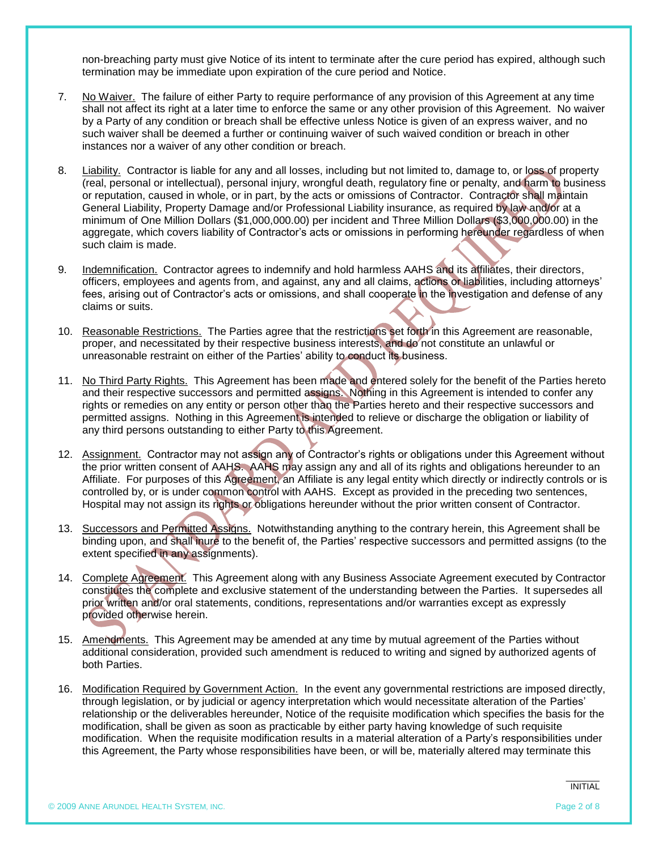non-breaching party must give Notice of its intent to terminate after the cure period has expired, although such termination may be immediate upon expiration of the cure period and Notice.

- 7. No Waiver. The failure of either Party to require performance of any provision of this Agreement at any time shall not affect its right at a later time to enforce the same or any other provision of this Agreement. No waiver by a Party of any condition or breach shall be effective unless Notice is given of an express waiver, and no such waiver shall be deemed a further or continuing waiver of such waived condition or breach in other instances nor a waiver of any other condition or breach.
- 8. Liability. Contractor is liable for any and all losses, including but not limited to, damage to, or loss of property (real, personal or intellectual), personal injury, wrongful death, regulatory fine or penalty, and harm to business or reputation, caused in whole, or in part, by the acts or omissions of Contractor. Contractor shall maintain General Liability, Property Damage and/or Professional Liability insurance, as required by law and/or at a minimum of One Million Dollars (\$1,000,000.00) per incident and Three Million Dollars (\$3,000,000.00) in the aggregate, which covers liability of Contractor's acts or omissions in performing hereunder regardless of when such claim is made.
- 9. Indemnification. Contractor agrees to indemnify and hold harmless AAHS and its affiliates, their directors, officers, employees and agents from, and against, any and all claims, actions or liabilities, including attorneys' fees, arising out of Contractor's acts or omissions, and shall cooperate in the investigation and defense of any claims or suits.
- 10. Reasonable Restrictions. The Parties agree that the restrictions set forth in this Agreement are reasonable, proper, and necessitated by their respective business interests, and do not constitute an unlawful or unreasonable restraint on either of the Parties' ability to conduct its business.
- 11. No Third Party Rights. This Agreement has been made and entered solely for the benefit of the Parties hereto and their respective successors and permitted assigns. Nothing in this Agreement is intended to confer any rights or remedies on any entity or person other than the Parties hereto and their respective successors and permitted assigns. Nothing in this Agreement is intended to relieve or discharge the obligation or liability of any third persons outstanding to either Party to this Agreement.
- 12. Assignment. Contractor may not assign any of Contractor's rights or obligations under this Agreement without the prior written consent of AAHS. AAHS may assign any and all of its rights and obligations hereunder to an Affiliate. For purposes of this Agreement, an Affiliate is any legal entity which directly or indirectly controls or is controlled by, or is under common control with AAHS. Except as provided in the preceding two sentences, Hospital may not assign its rights or obligations hereunder without the prior written consent of Contractor.
- 13. Successors and Permitted Assigns. Notwithstanding anything to the contrary herein, this Agreement shall be binding upon, and shall inure to the benefit of, the Parties' respective successors and permitted assigns (to the extent specified in any assignments).
- 14. Complete Agreement. This Agreement along with any Business Associate Agreement executed by Contractor constitutes the complete and exclusive statement of the understanding between the Parties. It supersedes all prior written and/or oral statements, conditions, representations and/or warranties except as expressly provided otherwise herein.
- 15. Amendments. This Agreement may be amended at any time by mutual agreement of the Parties without additional consideration, provided such amendment is reduced to writing and signed by authorized agents of both Parties.
- 16. Modification Required by Government Action. In the event any governmental restrictions are imposed directly, through legislation, or by judicial or agency interpretation which would necessitate alteration of the Parties' relationship or the deliverables hereunder, Notice of the requisite modification which specifies the basis for the modification, shall be given as soon as practicable by either party having knowledge of such requisite modification. When the requisite modification results in a material alteration of a Party's responsibilities under this Agreement, the Party whose responsibilities have been, or will be, materially altered may terminate this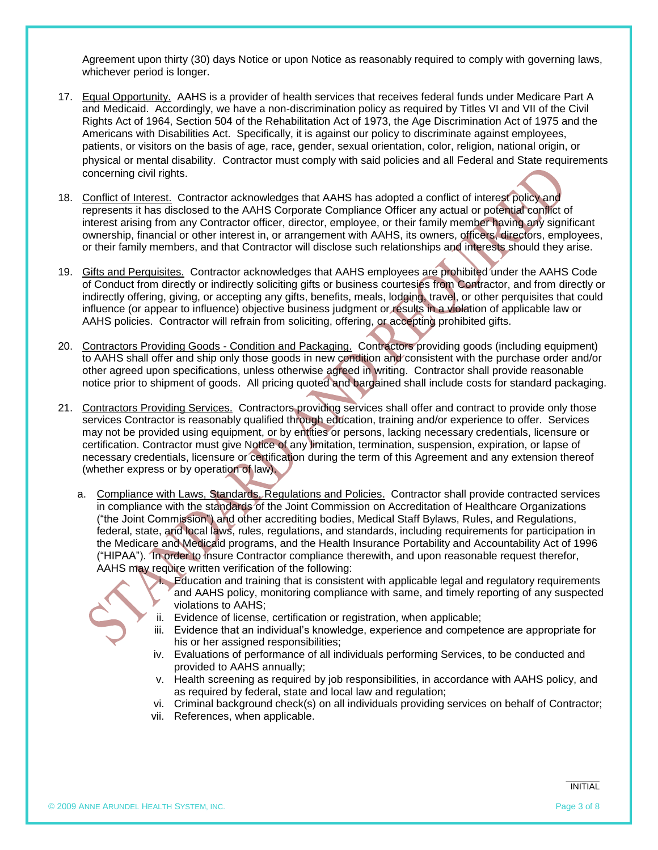Agreement upon thirty (30) days Notice or upon Notice as reasonably required to comply with governing laws, whichever period is longer.

- 17. Equal Opportunity. AAHS is a provider of health services that receives federal funds under Medicare Part A and Medicaid. Accordingly, we have a non-discrimination policy as required by Titles VI and VII of the Civil Rights Act of 1964, Section 504 of the Rehabilitation Act of 1973, the Age Discrimination Act of 1975 and the Americans with Disabilities Act. Specifically, it is against our policy to discriminate against employees, patients, or visitors on the basis of age, race, gender, sexual orientation, color, religion, national origin, or physical or mental disability. Contractor must comply with said policies and all Federal and State requirements concerning civil rights.
- 18. Conflict of Interest. Contractor acknowledges that AAHS has adopted a conflict of interest policy and represents it has disclosed to the AAHS Corporate Compliance Officer any actual or potential conflict of interest arising from any Contractor officer, director, employee, or their family member having any significant ownership, financial or other interest in, or arrangement with AAHS, its owners, officers, directors, employees, or their family members, and that Contractor will disclose such relationships and interests should they arise.
- 19. Gifts and Perquisites.Contractor acknowledges that AAHS employees are prohibited under the AAHS Code of Conduct from directly or indirectly soliciting gifts or business courtesies from Contractor, and from directly or indirectly offering, giving, or accepting any gifts, benefits, meals, lodging, travel, or other perquisites that could influence (or appear to influence) objective business judgment or results in a violation of applicable law or AAHS policies. Contractor will refrain from soliciting, offering, or accepting prohibited gifts.
- 20. Contractors Providing Goods Condition and Packaging. Contractors providing goods (including equipment) to AAHS shall offer and ship only those goods in new condition and consistent with the purchase order and/or other agreed upon specifications, unless otherwise agreed in writing. Contractor shall provide reasonable notice prior to shipment of goods. All pricing quoted and bargained shall include costs for standard packaging.
- 21. Contractors Providing Services. Contractors providing services shall offer and contract to provide only those services Contractor is reasonably qualified through education, training and/or experience to offer. Services may not be provided using equipment, or by entities or persons, lacking necessary credentials, licensure or certification. Contractor must give Notice of any limitation, termination, suspension, expiration, or lapse of necessary credentials, licensure or certification during the term of this Agreement and any extension thereof (whether express or by operation of law).
	- a. Compliance with Laws, Standards, Regulations and Policies.Contractor shall provide contracted services in compliance with the standards of the Joint Commission on Accreditation of Healthcare Organizations ("the Joint Commission") and other accrediting bodies, Medical Staff Bylaws, Rules, and Regulations, federal, state, and local laws, rules, regulations, and standards, including requirements for participation in the Medicare and Medicaid programs, and the Health Insurance Portability and Accountability Act of 1996 ("HIPAA"). In order to insure Contractor compliance therewith, and upon reasonable request therefor, AAHS may require written verification of the following:

i. Education and training that is consistent with applicable legal and regulatory requirements and AAHS policy, monitoring compliance with same, and timely reporting of any suspected violations to AAHS;

- ii. Evidence of license, certification or registration, when applicable;
- iii. Evidence that an individual's knowledge, experience and competence are appropriate for his or her assigned responsibilities;
- iv. Evaluations of performance of all individuals performing Services, to be conducted and provided to AAHS annually;
- v. Health screening as required by job responsibilities, in accordance with AAHS policy, and as required by federal, state and local law and regulation;
- vi. Criminal background check(s) on all individuals providing services on behalf of Contractor;
- vii. References, when applicable.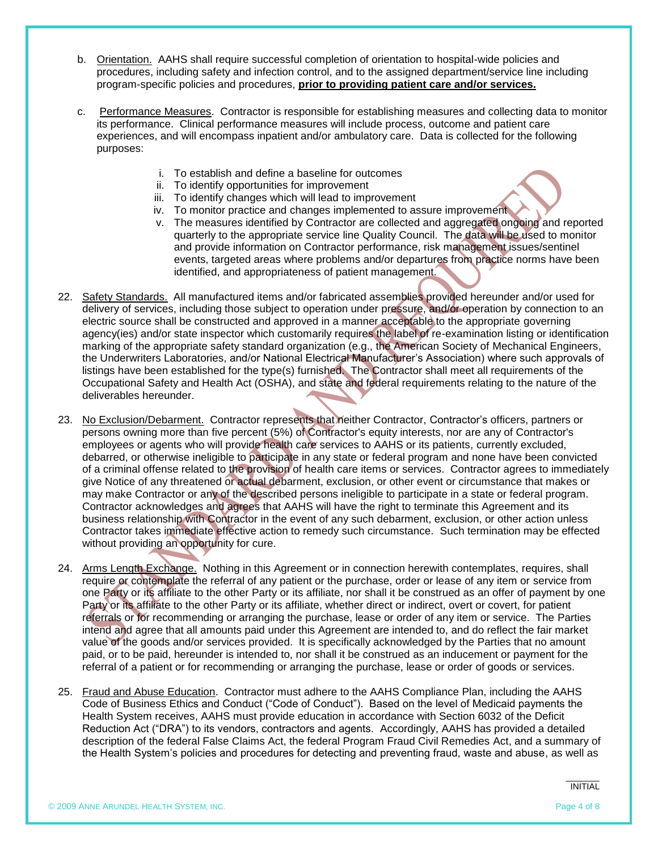- b. Orientation. AAHS shall require successful completion of orientation to hospital-wide policies and procedures, including safety and infection control, and to the assigned department/service line including program-specific policies and procedures, **prior to providing patient care and/or services.**
- c. Performance Measures. Contractor is responsible for establishing measures and collecting data to monitor its performance. Clinical performance measures will include process, outcome and patient care experiences, and will encompass inpatient and/or ambulatory care. Data is collected for the following purposes:
	- i. To establish and define a baseline for outcomes
	- ii. To identify opportunities for improvement
	- iii. To identify changes which will lead to improvement
	- iv. To monitor practice and changes implemented to assure improvement
	- v. The measures identified by Contractor are collected and aggregated ongoing and reported quarterly to the appropriate service line Quality Council. The data will be used to monitor and provide information on Contractor performance, risk management issues/sentinel events, targeted areas where problems and/or departures from practice norms have been identified, and appropriateness of patient management.
- 22. Safety Standards. All manufactured items and/or fabricated assemblies provided hereunder and/or used for delivery of services, including those subject to operation under pressure, and/or operation by connection to an electric source shall be constructed and approved in a manner acceptable to the appropriate governing agency(ies) and/or state inspector which customarily requires the label of re-examination listing or identification marking of the appropriate safety standard organization (e.g., the American Society of Mechanical Engineers, the Underwriters Laboratories, and/or National Electrical Manufacturer's Association) where such approvals of listings have been established for the type(s) furnished. The Contractor shall meet all requirements of the Occupational Safety and Health Act (OSHA), and state and federal requirements relating to the nature of the deliverables hereunder.
- 23. No Exclusion/Debarment. Contractor represents that neither Contractor, Contractor's officers, partners or persons owning more than five percent (5%) of Contractor's equity interests, nor are any of Contractor's employees or agents who will provide health care services to AAHS or its patients, currently excluded, debarred, or otherwise ineligible to participate in any state or federal program and none have been convicted of a criminal offense related to the provision of health care items or services. Contractor agrees to immediately give Notice of any threatened or actual debarment, exclusion, or other event or circumstance that makes or may make Contractor or any of the described persons ineligible to participate in a state or federal program. Contractor acknowledges and agrees that AAHS will have the right to terminate this Agreement and its business relationship with Contractor in the event of any such debarment, exclusion, or other action unless Contractor takes immediate effective action to remedy such circumstance. Such termination may be effected without providing an opportunity for cure.
- 24. Arms Length Exchange. Nothing in this Agreement or in connection herewith contemplates, requires, shall require or contemplate the referral of any patient or the purchase, order or lease of any item or service from one Party or its affiliate to the other Party or its affiliate, nor shall it be construed as an offer of payment by one Party or its affiliate to the other Party or its affiliate, whether direct or indirect, overt or covert, for patient referrals or for recommending or arranging the purchase, lease or order of any item or service. The Parties intend and agree that all amounts paid under this Agreement are intended to, and do reflect the fair market value of the goods and/or services provided. It is specifically acknowledged by the Parties that no amount paid, or to be paid, hereunder is intended to, nor shall it be construed as an inducement or payment for the referral of a patient or for recommending or arranging the purchase, lease or order of goods or services.
- 25. Fraud and Abuse Education. Contractor must adhere to the AAHS Compliance Plan, including the AAHS Code of Business Ethics and Conduct ("Code of Conduct"). Based on the level of Medicaid payments the Health System receives, AAHS must provide education in accordance with Section 6032 of the Deficit Reduction Act ("DRA") to its vendors, contractors and agents. Accordingly, AAHS has provided a detailed description of the federal False Claims Act, the federal Program Fraud Civil Remedies Act, and a summary of the Health System's policies and procedures for detecting and preventing fraud, waste and abuse, as well as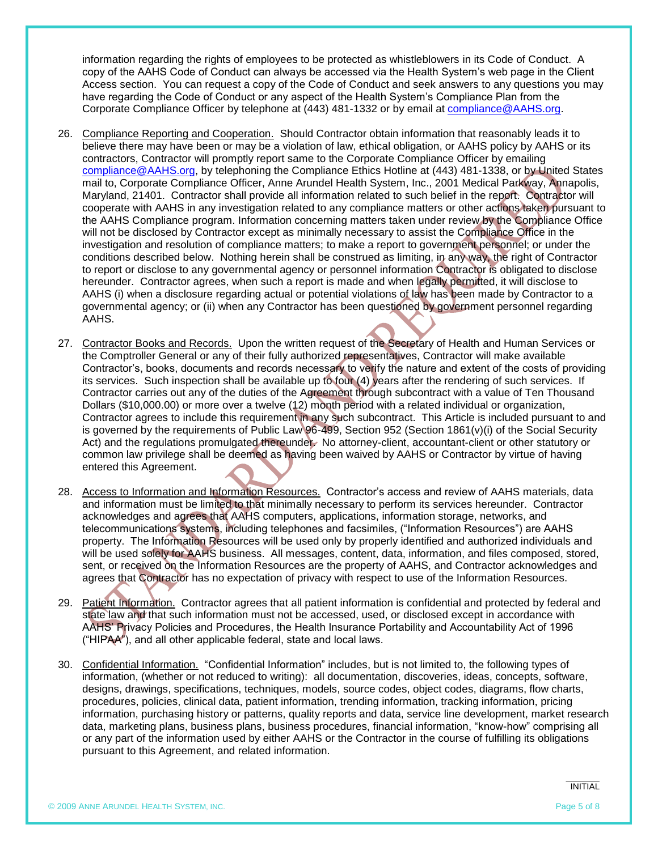information regarding the rights of employees to be protected as whistleblowers in its Code of Conduct. A copy of the AAHS Code of Conduct can always be accessed via the Health System's web page in the Client Access section. You can request a copy of the Code of Conduct and seek answers to any questions you may have regarding the Code of Conduct or any aspect of the Health System's Compliance Plan from the Corporate Compliance Officer by telephone at (443) 481-1332 or by email at [compliance@AAHS.org.](mailto:compliance@AAHS.org)

- 26. Compliance Reporting and Cooperation. Should Contractor obtain information that reasonably leads it to believe there may have been or may be a violation of law, ethical obligation, or AAHS policy by AAHS or its contractors, Contractor will promptly report same to the Corporate Compliance Officer by emailing [compliance@AAHS.org,](mailto:compliance@AAHS.org) by telephoning the Compliance Ethics Hotline at (443) 481-1338, or by United States mail to, Corporate Compliance Officer, Anne Arundel Health System, Inc., 2001 Medical Parkway, Annapolis, Maryland, 21401. Contractor shall provide all information related to such belief in the report. Contractor will cooperate with AAHS in any investigation related to any compliance matters or other actions taken pursuant to the AAHS Compliance program. Information concerning matters taken under review by the Compliance Office will not be disclosed by Contractor except as minimally necessary to assist the Compliance Office in the investigation and resolution of compliance matters; to make a report to government personnel; or under the conditions described below. Nothing herein shall be construed as limiting, in any way, the right of Contractor to report or disclose to any governmental agency or personnel information Contractor is obligated to disclose hereunder. Contractor agrees, when such a report is made and when legally permitted, it will disclose to AAHS (i) when a disclosure regarding actual or potential violations of law has been made by Contractor to a governmental agency; or (ii) when any Contractor has been questioned by government personnel regarding AAHS.
- 27. Contractor Books and Records. Upon the written request of the Secretary of Health and Human Services or the Comptroller General or any of their fully authorized representatives, Contractor will make available Contractor's, books, documents and records necessary to verify the nature and extent of the costs of providing its services. Such inspection shall be available up to four (4) years after the rendering of such services. If Contractor carries out any of the duties of the Agreement through subcontract with a value of Ten Thousand Dollars (\$10,000.00) or more over a twelve (12) month period with a related individual or organization, Contractor agrees to include this requirement in any such subcontract. This Article is included pursuant to and is governed by the requirements of Public Law 96-499, Section 952 (Section 1861(v)(i) of the Social Security Act) and the regulations promulgated thereunder. No attorney-client, accountant-client or other statutory or common law privilege shall be deemed as having been waived by AAHS or Contractor by virtue of having entered this Agreement.
- 28. Access to Information and Information Resources. Contractor's access and review of AAHS materials, data and information must be limited to that minimally necessary to perform its services hereunder. Contractor acknowledges and agrees that AAHS computers, applications, information storage, networks, and telecommunications systems, including telephones and facsimiles, ("Information Resources") are AAHS property. The Information Resources will be used only by properly identified and authorized individuals and will be used solely for AAHS business. All messages, content, data, information, and files composed, stored, sent, or received on the Information Resources are the property of AAHS, and Contractor acknowledges and agrees that Contractor has no expectation of privacy with respect to use of the Information Resources.
- 29. Patient Information. Contractor agrees that all patient information is confidential and protected by federal and state law and that such information must not be accessed, used, or disclosed except in accordance with AAHS' Privacy Policies and Procedures, the Health Insurance Portability and Accountability Act of 1996 ("HIPAA"), and all other applicable federal, state and local laws.
- 30. Confidential Information. "Confidential Information" includes, but is not limited to, the following types of information, (whether or not reduced to writing): all documentation, discoveries, ideas, concepts, software, designs, drawings, specifications, techniques, models, source codes, object codes, diagrams, flow charts, procedures, policies, clinical data, patient information, trending information, tracking information, pricing information, purchasing history or patterns, quality reports and data, service line development, market research data, marketing plans, business plans, business procedures, financial information, "know-how" comprising all or any part of the information used by either AAHS or the Contractor in the course of fulfilling its obligations pursuant to this Agreement, and related information.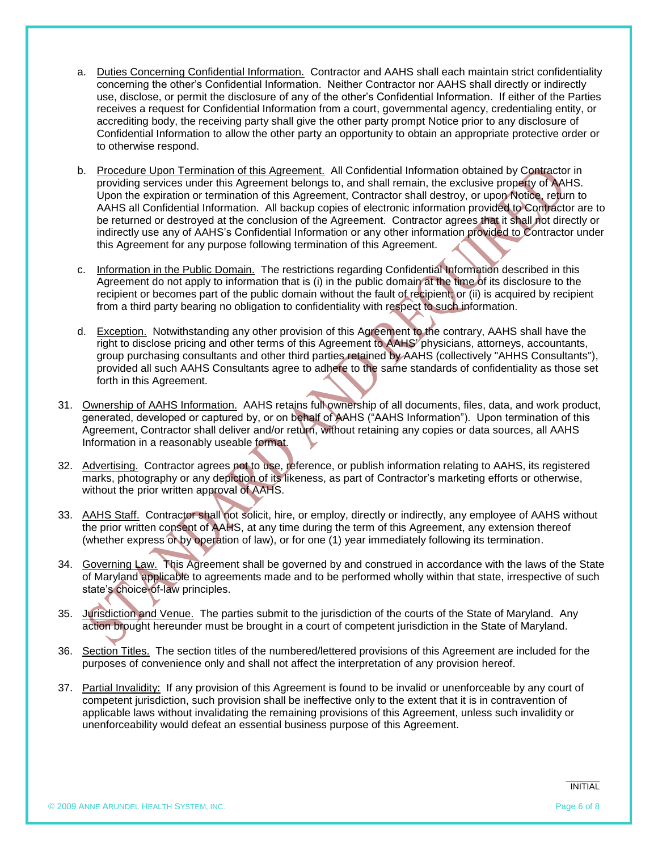- a. Duties Concerning Confidential Information. Contractor and AAHS shall each maintain strict confidentiality concerning the other's Confidential Information. Neither Contractor nor AAHS shall directly or indirectly use, disclose, or permit the disclosure of any of the other's Confidential Information. If either of the Parties receives a request for Confidential Information from a court, governmental agency, credentialing entity, or accrediting body, the receiving party shall give the other party prompt Notice prior to any disclosure of Confidential Information to allow the other party an opportunity to obtain an appropriate protective order or to otherwise respond.
- b. Procedure Upon Termination of this Agreement. All Confidential Information obtained by Contractor in providing services under this Agreement belongs to, and shall remain, the exclusive property of AAHS. Upon the expiration or termination of this Agreement, Contractor shall destroy, or upon Notice, return to AAHS all Confidential Information. All backup copies of electronic information provided to Contractor are to be returned or destroyed at the conclusion of the Agreement. Contractor agrees that it shall not directly or indirectly use any of AAHS's Confidential Information or any other information provided to Contractor under this Agreement for any purpose following termination of this Agreement.
- c. Information in the Public Domain. The restrictions regarding Confidential Information described in this Agreement do not apply to information that is (i) in the public domain at the time of its disclosure to the recipient or becomes part of the public domain without the fault of recipient; or (ii) is acquired by recipient from a third party bearing no obligation to confidentiality with respect to such information.
- d. Exception. Notwithstanding any other provision of this Agreement to the contrary, AAHS shall have the right to disclose pricing and other terms of this Agreement to AAHS' physicians, attorneys, accountants, group purchasing consultants and other third parties retained by AAHS (collectively "AHHS Consultants"), provided all such AAHS Consultants agree to adhere to the same standards of confidentiality as those set forth in this Agreement.
- 31. Ownership of AAHS Information. AAHS retains full ownership of all documents, files, data, and work product, generated, developed or captured by, or on behalf of AAHS ("AAHS Information"). Upon termination of this Agreement, Contractor shall deliver and/or return, without retaining any copies or data sources, all AAHS Information in a reasonably useable format.
- 32. Advertising. Contractor agrees not to use, reference, or publish information relating to AAHS, its registered marks, photography or any depiction of its likeness, as part of Contractor's marketing efforts or otherwise, without the prior written approval of AAHS.
- 33. AAHS Staff. Contractor shall not solicit, hire, or employ, directly or indirectly, any employee of AAHS without the prior written consent of AAHS, at any time during the term of this Agreement, any extension thereof (whether express or by operation of law), or for one (1) year immediately following its termination.
- 34. Governing Law. This Agreement shall be governed by and construed in accordance with the laws of the State of Maryland applicable to agreements made and to be performed wholly within that state, irrespective of such state's choice-of-law principles.
- 35. Jurisdiction and Venue. The parties submit to the jurisdiction of the courts of the State of Maryland. Any action brought hereunder must be brought in a court of competent jurisdiction in the State of Maryland.
- 36. Section Titles. The section titles of the numbered/lettered provisions of this Agreement are included for the purposes of convenience only and shall not affect the interpretation of any provision hereof.
- 37. Partial Invalidity: If any provision of this Agreement is found to be invalid or unenforceable by any court of competent jurisdiction, such provision shall be ineffective only to the extent that it is in contravention of applicable laws without invalidating the remaining provisions of this Agreement, unless such invalidity or unenforceability would defeat an essential business purpose of this Agreement.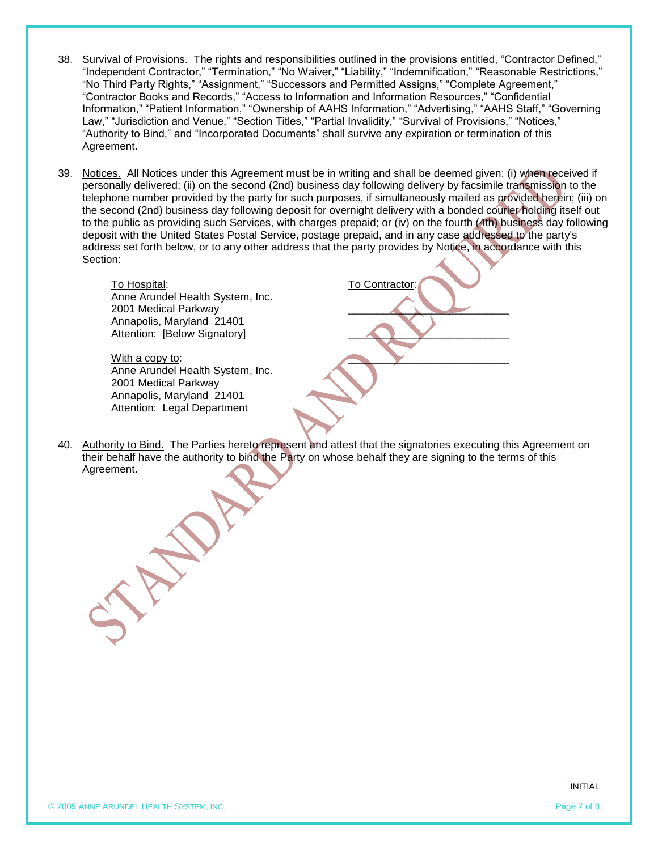- 38. Survival of Provisions.The rights and responsibilities outlined in the provisions entitled, "Contractor Defined," "Independent Contractor," "Termination," "No Waiver," "Liability," "Indemnification," "Reasonable Restrictions," "No Third Party Rights," "Assignment," "Successors and Permitted Assigns," "Complete Agreement," "Contractor Books and Records," "Access to Information and Information Resources," "Confidential Information," "Patient Information," "Ownership of AAHS Information," "Advertising," "AAHS Staff," "Governing Law," "Jurisdiction and Venue," "Section Titles," "Partial Invalidity," "Survival of Provisions," "Notices," "Authority to Bind," and "Incorporated Documents" shall survive any expiration or termination of this Agreement.
- 39. Notices. All Notices under this Agreement must be in writing and shall be deemed given: (i) when received if personally delivered; (ii) on the second (2nd) business day following delivery by facsimile transmission to the telephone number provided by the party for such purposes, if simultaneously mailed as provided herein; (iii) on the second (2nd) business day following deposit for overnight delivery with a bonded courier holding itself out to the public as providing such Services, with charges prepaid; or (iv) on the fourth (4th) business day following deposit with the United States Postal Service, postage prepaid, and in any case addressed to the party's address set forth below, or to any other address that the party provides by Notice, in accordance with this Section:

To Hospital: To Contractor: Anne Arundel Health System, Inc. 2001 Medical Parkway Annapolis, Maryland 21401 Attention: [Below Signatory]

With a copy to: Anne Arundel Health System, Inc. 2001 Medical Parkway Annapolis, Maryland 21401 Attention: Legal Department

40. Authority to Bind. The Parties hereto represent and attest that the signatories executing this Agreement on their behalf have the authority to bind the Party on whose behalf they are signing to the terms of this Agreement.